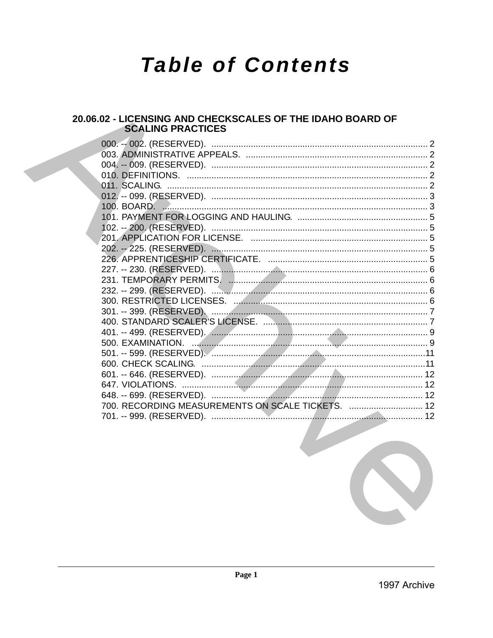# **Table of Contents**

# 20.06.02 - LICENSING AND CHECKSCALES OF THE IDAHO BOARD OF **SCALING PRACTICES**

| 700. RECORDING MEASUREMENTS ON SCALE TICKETS.  12 |  |
|---------------------------------------------------|--|
|                                                   |  |
|                                                   |  |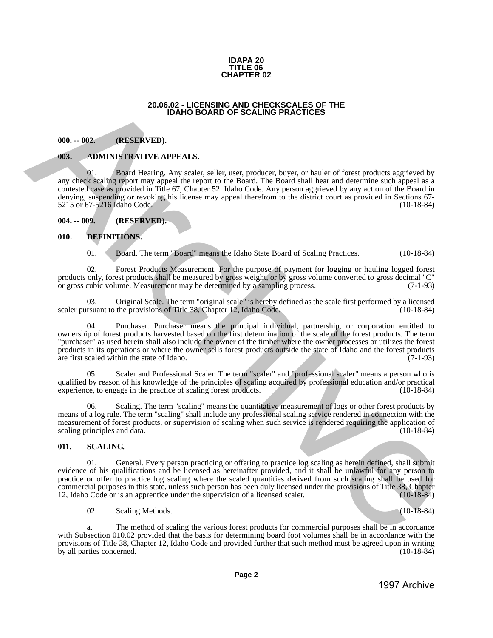#### **IDAPA 20 TITLE 06 CHAPTER 02**

#### **20.06.02 - LICENSING AND CHECKSCALES OF THE IDAHO BOARD OF SCALING PRACTICES**

# <span id="page-1-1"></span>**000. -- 002. (RESERVED).**

#### <span id="page-1-2"></span>**003. ADMINISTRATIVE APPEALS.**

01. Board Hearing. Any scaler, seller, user, producer, buyer, or hauler of forest products aggrieved by any check scaling report may appeal the report to the Board. The Board shall hear and determine such appeal as a contested case as provided in Title 67, Chapter 52. Idaho Code. Any person aggrieved by any action of the Board in denying, suspending or revoking his license may appeal therefrom to the district court as provided in Sections 67-<br>5215 or 67-5216 Idaho Code. (10-18-84) 5215 or 67-5216 Idaho Code.

#### <span id="page-1-3"></span>**004. -- 009. (RESERVED).**

# <span id="page-1-4"></span>**010. DEFINITIONS.**

01. Board. The term "Board" means the Idaho State Board of Scaling Practices. (10-18-84)

02. Forest Products Measurement. For the purpose of payment for logging or hauling logged forest products only, forest products shall be measured by gross weight, or by gross volume converted to gross decimal "C"<br>or gross cubic volume. Measurement may be determined by a sampling process. or gross cubic volume. Measurement may be determined by a sampling process.

Original Scale. The term "original scale" is hereby defined as the scale first performed by a licensed the provisions of Title 38. Chapter 12. Idaho Code. (10-18-84) scaler pursuant to the provisions of Title 38, Chapter 12, Idaho Code.

04. Purchaser. Purchaser means the principal individual, partnership, or corporation entitled to ownership of forest products harvested based on the first determination of the scale of the forest products. The term "purchaser" as used herein shall also include the owner of the timber where the owner processes or utilizes the forest products in its operations or where the owner sells forest products outside the state of Idaho and the forest products are first scaled within the state of Idaho. (7-1-93) are first scaled within the state of Idaho.

05. Scaler and Professional Scaler. The term "scaler" and "professional scaler" means a person who is qualified by reason of his knowledge of the principles of scaling acquired by professional education and/or practical experience, to engage in the practice of scaling forest products. (10-18-84) (10-18-84)

06. Scaling. The term "scaling" means the quantitative measurement of logs or other forest products by means of a log rule. The term "scaling" shall include any professional scaling service rendered in connection with the measurement of forest products, or supervision of scaling when such service is rendered requiring the application of scaling principles and data. (10-18-84)

# <span id="page-1-5"></span>**011. SCALING.**

<span id="page-1-0"></span>01. General. Every person practicing or offering to practice log scaling as herein defined, shall submit evidence of his qualifications and be licensed as hereinafter provided, and it shall be unlawful for any person to practice or offer to practice log scaling where the scaled quantities derived from such scaling shall be used for commercial purposes in this state, unless such person has been duly licensed under the provisions of Title 38, Chapter 12, Idaho Code or is an apprentice under the supervision of a licensed scaler. (10-18-84) 12, Idaho Code or is an apprentice under the supervision of a licensed scaler. **20.06.02 - LICENSING AND CHECKSCALES OF THE<br>
1997 ARCHIVES CONTEXT AND CHECKSCALES OF THE<br>
1997 ARCHIVES CONTEXT AND CHECKSCALES OF THE<br>
1997 ARCHIVES CONTEXT ARCHIVES CONTEXT ARCHIVES CONTEXT AND CHECKSCALES OF THE<br>
199** 

02. Scaling Methods. (10-18-84)

a. The method of scaling the various forest products for commercial purposes shall be in accordance with Subsection 010.02 provided that the basis for determining board foot volumes shall be in accordance with the provisions of Title 38, Chapter 12, Idaho Code and provided further that such method must be agreed upon in writing by all parties concerned.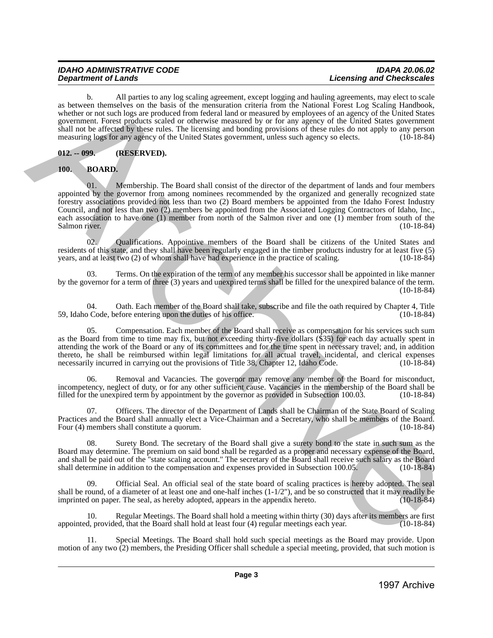b. All parties to any log scaling agreement, except logging and hauling agreements, may elect to scale as between themselves on the basis of the mensuration criteria from the National Forest Log Scaling Handbook, whether or not such logs are produced from federal land or measured by employees of an agency of the United States government. Forest products scaled or otherwise measured by or for any agency of the United States government shall not be affected by these rules. The licensing and bonding provisions of these rules do not apply to any person measuring logs for any agency of the United States government, unless such agency so elects. (10-18-84)

# <span id="page-2-0"></span>**012. -- 099. (RESERVED).**

<span id="page-2-1"></span>**100. BOARD.**

01. Membership. The Board shall consist of the director of the department of lands and four members appointed by the governor from among nominees recommended by the organized and generally recognized state forestry associations provided not less than two (2) Board members be appointed from the Idaho Forest Industry Council, and not less than two (2) members be appointed from the Associated Logging Contractors of Idaho, Inc., each association to have one (1) member from north of the Salmon river and one (1) member from south of the Salmon river. (10-18-84) Salmon river. (10-18-84) 1997 Archives the main state is appeared by the proposition of the proposition of the state is a state of the state of the state of the state of the state of the state of the state of the state of the state of the state

02. Qualifications. Appointive members of the Board shall be citizens of the United States and residents of this state, and they shall have been regularly engaged in the timber products industry for at least five (5) vears, and at least two (2) of whom shall have had experience in the practice of scaling. (10-18-84) years, and at least two  $(2)$  of whom shall have had experience in the practice of scaling.

03. Terms. On the expiration of the term of any member his successor shall be appointed in like manner by the governor for a term of three (3) years and unexpired terms shall be filled for the unexpired balance of the term. (10-18-84)

04. Oath. Each member of the Board shall take, subscribe and file the oath required by Chapter 4, Title of Code, before entering upon the duties of his office. 59, Idaho Code, before entering upon the duties of his office.

Compensation. Each member of the Board shall receive as compensation for his services such sum as the Board from time to time may fix, but not exceeding thirty-five dollars (\$35) for each day actually spent in attending the work of the Board or any of its committees and for the time spent in necessary travel; and, in addition thereto, he shall be reimbursed within legal limitations for all actual travel, incidental, and clerical expenses necessarily incurred in carrying out the provisions of Title 38, Chapter 12, Idaho Code. (10-18-84)

06. Removal and Vacancies. The governor may remove any member of the Board for misconduct, incompetency, neglect of duty, or for any other sufficient cause. Vacancies in the membership of the Board shall be filled for the unexpired term by appointment by the governor as provided in Subsection 100.03. (10-18-84) filled for the unexpired term by appointment by the governor as provided in Subsection 100.03.

07. Officers. The director of the Department of Lands shall be Chairman of the State Board of Scaling Practices and the Board shall annually elect a Vice-Chairman and a Secretary, who shall be members of the Board. Four (4) members shall constitute a quorum.

08. Surety Bond. The secretary of the Board shall give a surety bond to the state in such sum as the Board may determine. The premium on said bond shall be regarded as a proper and necessary expense of the Board, and shall be paid out of the "state scaling account." The secretary of the Board shall receive such salary as the Board shall determine in addition to the compensation and expenses provided in Subsection 100.05. (10-18-84)

09. Official Seal. An official seal of the state board of scaling practices is hereby adopted. The seal shall be round, of a diameter of at least one and one-half inches  $(1-1/2)$ , and be so constructed that it may readily be imprinted on paper. The seal, as hereby adopted, appears in the appendix hereto.  $(10-18-84)$ imprinted on paper. The seal, as hereby adopted, appears in the appendix hereto.

10. Regular Meetings. The Board shall hold a meeting within thirty (30) days after its members are first appointed, provided, that the Board shall hold at least four (4) regular meetings each year.

Special Meetings. The Board shall hold such special meetings as the Board may provide. Upon motion of any two (2) members, the Presiding Officer shall schedule a special meeting, provided, that such motion is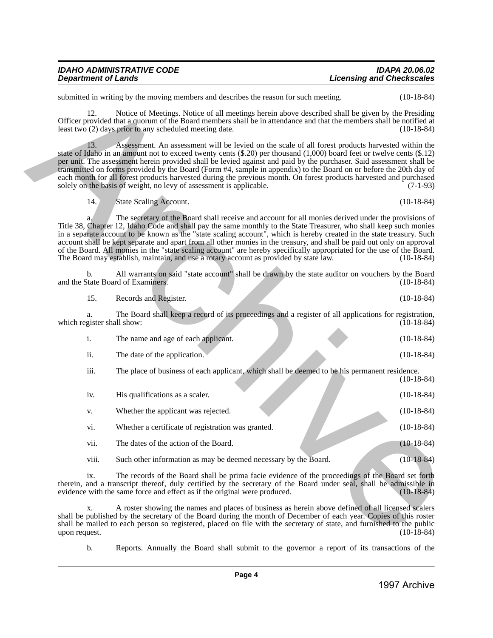| <b>IDAHO ADMINISTRATIVE CODE</b> | <b>IDAPA 20.06.02</b>            |
|----------------------------------|----------------------------------|
| <b>Department of Lands</b>       | <b>Licensing and Checkscales</b> |

| 14.<br>State Scaling Account. | $(10-18-84)$ |
|-------------------------------|--------------|
|-------------------------------|--------------|

|                                  | submitted in writing by the moving members and describes the reason for such meeting.                                                                                                                                                                                                                                                                                                                                                                                                                                                                                                                                                                                                           | $(10-18-84)$ |
|----------------------------------|-------------------------------------------------------------------------------------------------------------------------------------------------------------------------------------------------------------------------------------------------------------------------------------------------------------------------------------------------------------------------------------------------------------------------------------------------------------------------------------------------------------------------------------------------------------------------------------------------------------------------------------------------------------------------------------------------|--------------|
| 12.                              | Notice of Meetings. Notice of all meetings herein above described shall be given by the Presiding<br>Officer provided that a quorum of the Board members shall be in attendance and that the members shall be notified at<br>least two (2) days prior to any scheduled meeting date.                                                                                                                                                                                                                                                                                                                                                                                                            | $(10-18-84)$ |
| 13.                              | Assessment. An assessment will be levied on the scale of all forest products harvested within the<br>state of Idaho in an amount not to exceed twenty cents (\$.20) per thousand (1,000) board feet or twelve cents (\$.12)<br>per unit. The assessment herein provided shall be levied against and paid by the purchaser. Said assessment shall be<br>transmitted on forms provided by the Board (Form #4, sample in appendix) to the Board on or before the 20th day of<br>each month for all forest products harvested during the previous month. On forest products harvested and purchased<br>solely on the basis of weight, no levy of assessment is applicable.                          | $(7-1-93)$   |
| 14.                              | State Scaling Account.                                                                                                                                                                                                                                                                                                                                                                                                                                                                                                                                                                                                                                                                          | $(10-18-84)$ |
|                                  | The secretary of the Board shall receive and account for all monies derived under the provisions of<br>Title 38, Chapter 12, Idaho Code and shall pay the same monthly to the State Treasurer, who shall keep such monies<br>in a separate account to be known as the "state scaling account", which is hereby created in the state treasury. Such<br>account shall be kept separate and apart from all other monies in the treasury, and shall be paid out only on approval<br>of the Board. All monies in the "state scaling account" are hereby specifically appropriated for the use of the Board.<br>The Board may establish, maintain, and use a rotary account as provided by state law. | $(10-18-84)$ |
| b.                               | All warrants on said "state account" shall be drawn by the state auditor on vouchers by the Board<br>and the State Board of Examiners.                                                                                                                                                                                                                                                                                                                                                                                                                                                                                                                                                          | $(10-18-84)$ |
| 15.                              | Records and Register.                                                                                                                                                                                                                                                                                                                                                                                                                                                                                                                                                                                                                                                                           | $(10-18-84)$ |
| a.<br>which register shall show: | The Board shall keep a record of its proceedings and a register of all applications for registration,                                                                                                                                                                                                                                                                                                                                                                                                                                                                                                                                                                                           | $(10-18-84)$ |
| $\mathbf{i}$ .                   | The name and age of each applicant.                                                                                                                                                                                                                                                                                                                                                                                                                                                                                                                                                                                                                                                             | $(10-18-84)$ |
| ii.                              | The date of the application.                                                                                                                                                                                                                                                                                                                                                                                                                                                                                                                                                                                                                                                                    | $(10-18-84)$ |
| iii.                             | The place of business of each applicant, which shall be deemed to be his permanent residence.                                                                                                                                                                                                                                                                                                                                                                                                                                                                                                                                                                                                   | $(10-18-84)$ |
| iv.                              | His qualifications as a scaler.                                                                                                                                                                                                                                                                                                                                                                                                                                                                                                                                                                                                                                                                 | $(10-18-84)$ |
| V.                               | Whether the applicant was rejected.                                                                                                                                                                                                                                                                                                                                                                                                                                                                                                                                                                                                                                                             | $(10-18-84)$ |
| vi.                              | Whether a certificate of registration was granted.                                                                                                                                                                                                                                                                                                                                                                                                                                                                                                                                                                                                                                              | $(10-18-84)$ |
| vii.                             | The dates of the action of the Board.                                                                                                                                                                                                                                                                                                                                                                                                                                                                                                                                                                                                                                                           | $(10-18-84)$ |
| viii.                            | Such other information as may be deemed necessary by the Board.                                                                                                                                                                                                                                                                                                                                                                                                                                                                                                                                                                                                                                 | $(10-18-84)$ |
| $\mathbf{1} \mathbf{X}$ .        | The records of the Board shall be prima facie evidence of the proceedings of the Board set forth<br>therein, and a transcript thereof, duly certified by the secretary of the Board under seal, shall be admissible in<br>evidence with the same force and effect as if the original were produced.                                                                                                                                                                                                                                                                                                                                                                                             | $(10-18-84)$ |
| X.<br>upon request.              | A roster showing the names and places of business as herein above defined of all licensed scalers<br>shall be published by the secretary of the Board during the month of December of each year. Copies of this roster<br>shall be mailed to each person so registered, placed on file with the secretary of state, and furnished to the public                                                                                                                                                                                                                                                                                                                                                 | $(10-18-84)$ |
| b.                               | Reports. Annually the Board shall submit to the governor a report of its transactions of the                                                                                                                                                                                                                                                                                                                                                                                                                                                                                                                                                                                                    |              |
|                                  |                                                                                                                                                                                                                                                                                                                                                                                                                                                                                                                                                                                                                                                                                                 |              |
|                                  | Page 4                                                                                                                                                                                                                                                                                                                                                                                                                                                                                                                                                                                                                                                                                          | 1997 Archive |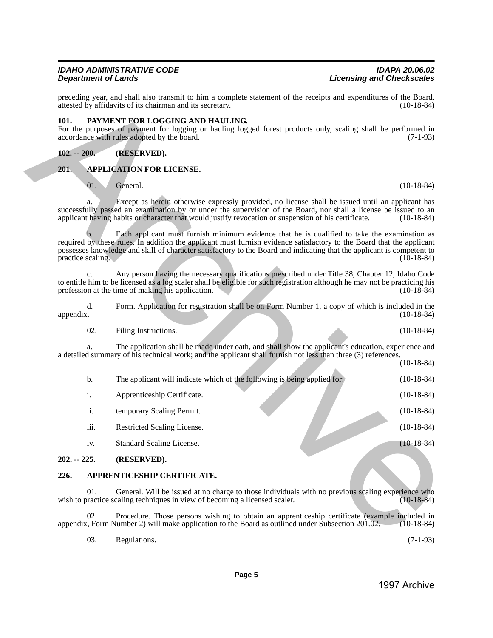#### <span id="page-4-0"></span>**101. PAYMENT FOR LOGGING AND HAULING.**

# <span id="page-4-1"></span>**102. -- 200. (RESERVED).**

# <span id="page-4-2"></span>**201. APPLICATION FOR LICENSE.**

# 01. General. (10-18-84)

| 02. | Filing Instructions. |  | $(10-18-84)$ |
|-----|----------------------|--|--------------|
|     |                      |  |              |

|               |                   | attested by affidavits of its chairman and its secretary.                                                                                                                                                                                                                                                                                       | $(10-18-84)$ |
|---------------|-------------------|-------------------------------------------------------------------------------------------------------------------------------------------------------------------------------------------------------------------------------------------------------------------------------------------------------------------------------------------------|--------------|
| 101.          |                   | PAYMENT FOR LOGGING AND HAULING.<br>For the purposes of payment for logging or hauling logged forest products only, scaling shall be performed in<br>accordance with rules adopted by the board.                                                                                                                                                | $(7-1-93)$   |
| $102. - 200.$ |                   | (RESERVED).                                                                                                                                                                                                                                                                                                                                     |              |
| 201.          |                   | <b>APPLICATION FOR LICENSE.</b>                                                                                                                                                                                                                                                                                                                 |              |
|               | 01.               | General.                                                                                                                                                                                                                                                                                                                                        | $(10-18-84)$ |
|               | a.                | Except as herein otherwise expressly provided, no license shall be issued until an applicant has<br>successfully passed an examination by or under the supervision of the Board, nor shall a license be issued to an<br>applicant having habits or character that would justify revocation or suspension of his certificate.                    | $(10-18-84)$ |
|               | practice scaling. | Each applicant must furnish minimum evidence that he is qualified to take the examination as<br>required by these rules. In addition the applicant must furnish evidence satisfactory to the Board that the applicant<br>possesses knowledge and skill of character satisfactory to the Board and indicating that the applicant is competent to | $(10-18-84)$ |
|               | $\mathbf{c}$ .    | Any person having the necessary qualifications prescribed under Title 38, Chapter 12, Idaho Code<br>to entitle him to be licensed as a log scaler shall be eligible for such registration although he may not be practicing his<br>profession at the time of making his application.                                                            | $(10-18-84)$ |
| appendix.     | d.                | Form. Application for registration shall be on Form Number 1, a copy of which is included in the                                                                                                                                                                                                                                                | $(10-18-84)$ |
|               | 02.               | Filing Instructions.                                                                                                                                                                                                                                                                                                                            | $(10-18-84)$ |
|               | a.                | The application shall be made under oath, and shall show the applicant's education, experience and<br>a detailed summary of his technical work; and the applicant shall furnish not less than three (3) references.                                                                                                                             | $(10-18-84)$ |
|               | b.                | The applicant will indicate which of the following is being applied for:                                                                                                                                                                                                                                                                        | $(10-18-84)$ |
|               | i.                | Apprenticeship Certificate.                                                                                                                                                                                                                                                                                                                     | $(10-18-84)$ |
|               | ii.               | temporary Scaling Permit.                                                                                                                                                                                                                                                                                                                       | $(10-18-84)$ |
|               | iii.              | Restricted Scaling License.                                                                                                                                                                                                                                                                                                                     | $(10-18-84)$ |
|               | iv.               | Standard Scaling License.                                                                                                                                                                                                                                                                                                                       | $(10-18-84)$ |
| $202. - 225.$ |                   | (RESERVED).                                                                                                                                                                                                                                                                                                                                     |              |
| 226.          |                   | APPRENTICESHIP CERTIFICATE.                                                                                                                                                                                                                                                                                                                     |              |
|               | 01.               | General. Will be issued at no charge to those individuals with no previous scaling experience who<br>wish to practice scaling techniques in view of becoming a licensed scaler.                                                                                                                                                                 | $(10-18-84)$ |
|               | 02.               | Procedure. Those persons wishing to obtain an apprenticeship certificate (example included in<br>appendix, Form Number 2) will make application to the Board as outlined under Subsection 201.02.                                                                                                                                               | $(10-18-84)$ |
|               | 03.               | Regulations.                                                                                                                                                                                                                                                                                                                                    | $(7-1-93)$   |
|               |                   |                                                                                                                                                                                                                                                                                                                                                 |              |

# <span id="page-4-3"></span>**202. -- 225. (RESERVED).**

#### <span id="page-4-4"></span>**226. APPRENTICESHIP CERTIFICATE.**

**Licensing and Checkscales**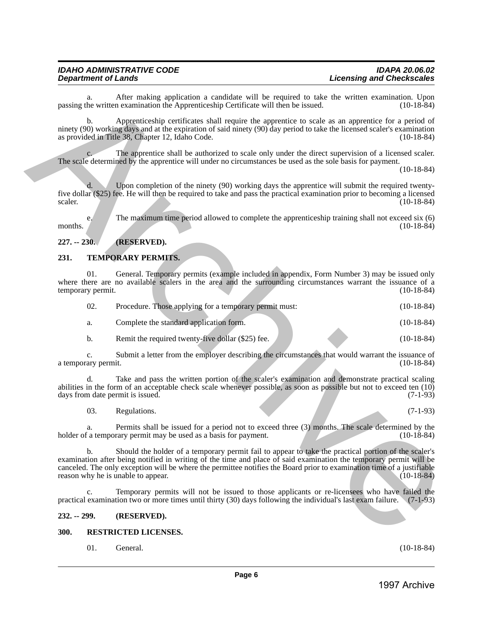# <span id="page-5-0"></span>**227. -- 230. (RESERVED).**

#### <span id="page-5-1"></span>**231. TEMPORARY PERMITS.**

| a.                        | After making application a candidate will be required to take the written examination. Upon<br>passing the written examination the Apprenticeship Certificate will then be issued.                                                                                                                                                                                                         | $(10-18-84)$ |
|---------------------------|--------------------------------------------------------------------------------------------------------------------------------------------------------------------------------------------------------------------------------------------------------------------------------------------------------------------------------------------------------------------------------------------|--------------|
| b.                        | Apprenticeship certificates shall require the apprentice to scale as an apprentice for a period of<br>ninety (90) working days and at the expiration of said ninety (90) day period to take the licensed scaler's examination<br>as provided in Title 38, Chapter 12, Idaho Code.                                                                                                          | $(10-18-84)$ |
|                           | The apprentice shall be authorized to scale only under the direct supervision of a licensed scaler.<br>The scale determined by the apprentice will under no circumstances be used as the sole basis for payment.                                                                                                                                                                           | $(10-18-84)$ |
| d.<br>scaler.             | Upon completion of the ninety (90) working days the apprentice will submit the required twenty-<br>five dollar (\$25) fee. He will then be required to take and pass the practical examination prior to becoming a licensed                                                                                                                                                                | $(10-18-84)$ |
| e.<br>months.             | The maximum time period allowed to complete the apprenticeship training shall not exceed six (6)                                                                                                                                                                                                                                                                                           | $(10-18-84)$ |
| $227. - 230.$             | (RESERVED).                                                                                                                                                                                                                                                                                                                                                                                |              |
| 231.                      | TEMPORARY PERMITS.                                                                                                                                                                                                                                                                                                                                                                         |              |
| 01.<br>temporary permit.  | General. Temporary permits (example included in appendix, Form Number 3) may be issued only<br>where there are no available scalers in the area and the surrounding circumstances warrant the issuance of a                                                                                                                                                                                | $(10-18-84)$ |
| 02.                       | Procedure. Those applying for a temporary permit must:                                                                                                                                                                                                                                                                                                                                     | $(10-18-84)$ |
| a.                        | Complete the standard application form.                                                                                                                                                                                                                                                                                                                                                    | $(10-18-84)$ |
| $\mathbf{b}$ .            | Remit the required twenty-five dollar (\$25) fee.                                                                                                                                                                                                                                                                                                                                          | $(10-18-84)$ |
| c.<br>a temporary permit. | Submit a letter from the employer describing the circumstances that would warrant the issuance of                                                                                                                                                                                                                                                                                          | $(10-18-84)$ |
| d.                        | Take and pass the written portion of the scaler's examination and demonstrate practical scaling<br>abilities in the form of an acceptable check scale whenever possible, as soon as possible but not to exceed ten (10)<br>days from date permit is issued.                                                                                                                                | $(7-1-93)$   |
| 03.                       | Regulations.                                                                                                                                                                                                                                                                                                                                                                               | $(7-1-93)$   |
| a.                        | Permits shall be issued for a period not to exceed three (3) months. The scale determined by the<br>holder of a temporary permit may be used as a basis for payment.                                                                                                                                                                                                                       | $(10-18-84)$ |
|                           | b. Should the holder of a temporary permit fail to appear to take the practical portion of the scaler's examination after being notified in writing of the time and place of said examination the temporary permit will be<br>canceled. The only exception will be where the permittee notifies the Board prior to examination time of a justifiable<br>reason why he is unable to appear. | $(10-18-84)$ |
| $\mathbf{c}$ .            | Temporary permits will not be issued to those applicants or re-licensees who have failed the<br>practical examination two or more times until thirty (30) days following the individual's last exam failure.                                                                                                                                                                               | $(7-1-93)$   |
| $232. - 299.$             | (RESERVED).                                                                                                                                                                                                                                                                                                                                                                                |              |
| 300.                      | RESTRICTED LICENSES.                                                                                                                                                                                                                                                                                                                                                                       |              |
| 01.                       | General.                                                                                                                                                                                                                                                                                                                                                                                   | $(10-18-84)$ |
|                           |                                                                                                                                                                                                                                                                                                                                                                                            |              |
|                           | Page 6                                                                                                                                                                                                                                                                                                                                                                                     | 1997 Archive |

#### <span id="page-5-2"></span>**232. -- 299. (RESERVED).**

#### <span id="page-5-3"></span>**300. RESTRICTED LICENSES.**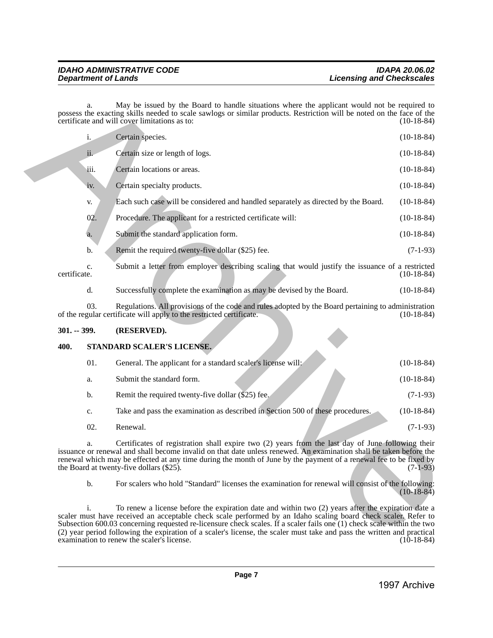|               |                | examination to renew the scaler's license.                                                                                                                                                                                                                                                                                                                                                                                                                                | $(10-18-84)$ |
|---------------|----------------|---------------------------------------------------------------------------------------------------------------------------------------------------------------------------------------------------------------------------------------------------------------------------------------------------------------------------------------------------------------------------------------------------------------------------------------------------------------------------|--------------|
|               | i.             | To renew a license before the expiration date and within two (2) years after the expiration date a<br>scaler must have received an acceptable check scale performed by an Idaho scaling board check scaler. Refer to<br>Subsection 600.03 concerning requested re-licensure check scales. If a scaler fails one (1) check scale within the two<br>(2) year period following the expiration of a scaler's license, the scaler must take and pass the written and practical |              |
|               | b.             | For scalers who hold "Standard" licenses the examination for renewal will consist of the following:                                                                                                                                                                                                                                                                                                                                                                       | $(10-18-84)$ |
|               | a.             | Certificates of registration shall expire two (2) years from the last day of June following their<br>issuance or renewal and shall become invalid on that date unless renewed. An examination shall be taken before the<br>renewal which may be effected at any time during the month of June by the payment of a renewal fee to be fixed by<br>the Board at twenty-five dollars (\$25).                                                                                  | $(7-1-93)$   |
|               | 02.            | Renewal.                                                                                                                                                                                                                                                                                                                                                                                                                                                                  | $(7-1-93)$   |
|               | c.             | Take and pass the examination as described in Section 500 of these procedures.                                                                                                                                                                                                                                                                                                                                                                                            | $(10-18-84)$ |
|               | b.             | Remit the required twenty-five dollar (\$25) fee.                                                                                                                                                                                                                                                                                                                                                                                                                         | $(7-1-93)$   |
|               | a.             | Submit the standard form.                                                                                                                                                                                                                                                                                                                                                                                                                                                 | $(10-18-84)$ |
|               | 01.            | General. The applicant for a standard scaler's license will:                                                                                                                                                                                                                                                                                                                                                                                                              | $(10-18-84)$ |
| 400.          |                | STANDARD SCALER'S LICENSE.                                                                                                                                                                                                                                                                                                                                                                                                                                                |              |
| $301. - 399.$ |                | (RESERVED).                                                                                                                                                                                                                                                                                                                                                                                                                                                               |              |
|               | 03.            | Regulations. All provisions of the code and rules adopted by the Board pertaining to administration<br>of the regular certificate will apply to the restricted certificate.                                                                                                                                                                                                                                                                                               | $(10-18-84)$ |
|               | d.             | Successfully complete the examination as may be devised by the Board.                                                                                                                                                                                                                                                                                                                                                                                                     | $(10-18-84)$ |
| certificate.  | c.             | Submit a letter from employer describing scaling that would justify the issuance of a restricted                                                                                                                                                                                                                                                                                                                                                                          | $(10-18-84)$ |
|               | b.             | Remit the required twenty-five dollar (\$25) fee.                                                                                                                                                                                                                                                                                                                                                                                                                         | $(7-1-93)$   |
|               | a.             | Submit the standard application form.                                                                                                                                                                                                                                                                                                                                                                                                                                     | $(10-18-84)$ |
|               | 02.            | Procedure. The applicant for a restricted certificate will:                                                                                                                                                                                                                                                                                                                                                                                                               | $(10-18-84)$ |
|               | V.             | Each such case will be considered and handled separately as directed by the Board.                                                                                                                                                                                                                                                                                                                                                                                        | $(10-18-84)$ |
|               | iv.            | Certain specialty products.                                                                                                                                                                                                                                                                                                                                                                                                                                               | $(10-18-84)$ |
|               | iii.           | Certain locations or areas.                                                                                                                                                                                                                                                                                                                                                                                                                                               | $(10-18-84)$ |
|               | ii.            | Certain size or length of logs.                                                                                                                                                                                                                                                                                                                                                                                                                                           | $(10-18-84)$ |
|               | $\mathbf{i}$ . | Certain species.                                                                                                                                                                                                                                                                                                                                                                                                                                                          | $(10-18-84)$ |
|               |                |                                                                                                                                                                                                                                                                                                                                                                                                                                                                           |              |

# <span id="page-6-0"></span>**301. -- 399. (RESERVED).**

#### <span id="page-6-1"></span>**400. STANDARD SCALER'S LICENSE.**

| 01. | General. The applicant for a standard scaler's license will:                   | $(10-18-84)$ |
|-----|--------------------------------------------------------------------------------|--------------|
| a.  | Submit the standard form.                                                      | $(10-18-84)$ |
| b.  | Remit the required twenty-five dollar (\$25) fee.                              | $(7-1-93)$   |
| c.  | Take and pass the examination as described in Section 500 of these procedures. | $(10-18-84)$ |
| 02. | Renewal.                                                                       | $(7-1-93)$   |
|     |                                                                                |              |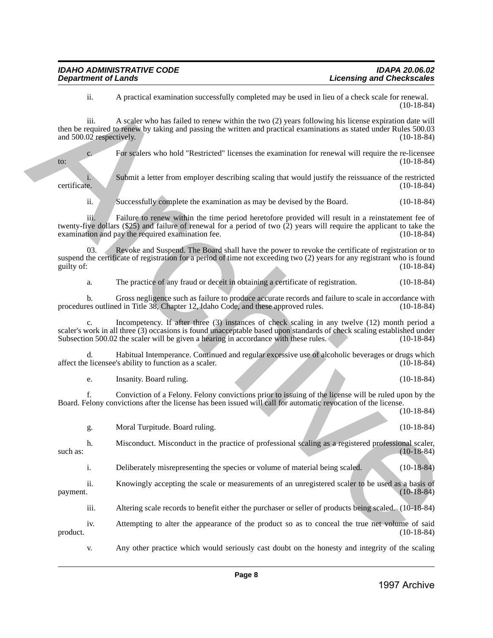ii. A practical examination successfully completed may be used in lieu of a check scale for renewal. (10-18-84)

iii. A scaler who has failed to renew within the two (2) years following his license expiration date will then be required to renew by taking and passing the written and practical examinations as stated under Rules 500.03 and  $500.02$  respectively. (10-18-84)

c. For scalers who hold "Restricted" licenses the examination for renewal will require the re-licensee to: (10-18-84)

i. Submit a letter from employer describing scaling that would justify the reissuance of the restricted certificate. (10-18-84) certificate. (10-18-84)

ii. Successfully complete the examination as may be devised by the Board. (10-18-84)

iii. Failure to renew within the time period heretofore provided will result in a reinstatement fee of twenty-five dollars (\$25) and failure of renewal for a period of two (2) years will require the applicant to take the examination and pay the required examination fee. (10-18-84) examination and pay the required examination fee.

03. Revoke and Suspend. The Board shall have the power to revoke the certificate of registration or to suspend the certificate of registration for a period of time not exceeding two (2) years for any registrant who is found guilty of: (10-18-84) guilty of:  $(10-18-84)$ 

a. The practice of any fraud or deceit in obtaining a certificate of registration. (10-18-84)

b. Gross negligence such as failure to produce accurate records and failure to scale in accordance with res outlined in Title 38, Chapter 12, Idaho Code, and these approved rules. (10-18-84) procedures outlined in Title 38, Chapter 12, Idaho Code, and these approved rules.

Incompetency. If after three (3) instances of check scaling in any twelve (12) month period a scaler's work in all three (3) occasions is found unacceptable based upon standards of check scaling established under<br>Subsection 500.02 the scaler will be given a hearing in accordance with these rules. (10-18-84) Subsection 500.02 the scaler will be given a hearing in accordance with these rules.

d. Habitual Intemperance. Continued and regular excessive use of alcoholic beverages or drugs which affect the licensee's ability to function as a scaler. (10-18-84)

e. Insanity. Board ruling. (10-18-84)

f. Conviction of a Felony. Felony convictions prior to issuing of the license will be ruled upon by the Board. Felony convictions after the license has been issued will call for automatic revocation of the license. (10-18-84)

g. Moral Turpitude. Board ruling. (10-18-84) h. Misconduct. Misconduct in the practice of professional scaling as a registered professional scaler, (10-18-84)  $\frac{(10-18-84)}{2}$ i. Deliberately misrepresenting the species or volume of material being scaled. (10-18-84) ii. Knowingly accepting the scale or measurements of an unregistered scaler to be used as a basis of payment. (10-18-84)  $p$ ayment.  $(10-18-84)$ 14 A provided continuous incorrelation (associated and provided and provided and interesting the continuous continuous  $\frac{1}{2}$  Archive Archive Archive Archive Archive Archive Archive Archive Archive Archive Archive Arc

iii. Altering scale records to benefit either the purchaser or seller of products being scaled. (10-18-84)

iv. Attempting to alter the appearance of the product so as to conceal the true net volume of said product. (10-18-84)

v. Any other practice which would seriously cast doubt on the honesty and integrity of the scaling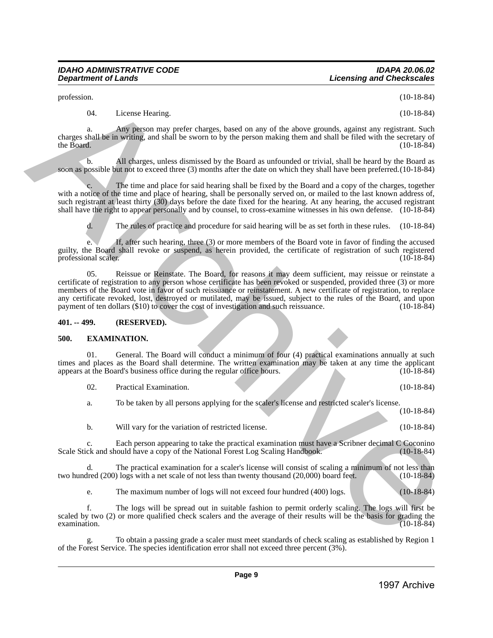profession. (10-18-84)

04. License Hearing. (10-18-84)

a. Any person may prefer charges, based on any of the above grounds, against any registrant. Such charges shall be in writing, and shall be sworn to by the person making them and shall be filed with the secretary of the Board.  $(10-18-84)$ 

b. All charges, unless dismissed by the Board as unfounded or trivial, shall be heard by the Board as soon as possible but not to exceed three (3) months after the date on which they shall have been preferred.(10-18-84)

The time and place for said hearing shall be fixed by the Board and a copy of the charges, together with a notice of the time and place of hearing, shall be personally served on, or mailed to the last known address of, such registrant at least thirty (30) days before the date fixed for the hearing. At any hearing, the accused registrant shall have the right to appear personally and by counsel, to cross-examine witnesses in his own defense. (10-18-84)

d. The rules of practice and procedure for said hearing will be as set forth in these rules. (10-18-84)

e. If, after such hearing, three (3) or more members of the Board vote in favor of finding the accused guilty, the Board shall revoke or suspend, as herein provided, the certificate of registration of such registered professional scaler.

05. Reissue or Reinstate. The Board, for reasons it may deem sufficient, may reissue or reinstate a certificate of registration to any person whose certificate has been revoked or suspended, provided three (3) or more members of the Board vote in favor of such reissuance or reinstatement. A new certificate of registration, to replace any certificate revoked, lost, destroyed or mutilated, may be issued, subject to the rules of the Board, and upon payment of ten dollars (\$10) to cover the cost of investigation and such reissuance. (10-18-84) payment of ten dollars (\$10) to cover the cost of investigation and such reissuance. positions of the latence fixtual control of the based of the based of the based of the latence of the state of the based of the latence of the state of the state of the state of the state of the state of the state of the

#### <span id="page-8-0"></span>**401. -- 499. (RESERVED).**

# <span id="page-8-1"></span>**500. EXAMINATION.**

General. The Board will conduct a minimum of four (4) practical examinations annually at such times and places as the Board shall determine. The written examination may be taken at any time the applicant appears at the Board's business office during the regular office hours. (10-18-84) appears at the Board's business office during the regular office hours.

02. Practical Examination. (10-18-84)

a. To be taken by all persons applying for the scaler's license and restricted scaler's license.

(10-18-84)

b. Will vary for the variation of restricted license. (10-18-84)

c. Each person appearing to take the practical examination must have a Scribner decimal C Coconino ck and should have a copy of the National Forest Log Scaling Handbook. (10-18-84) Scale Stick and should have a copy of the National Forest Log Scaling Handbook.

d. The practical examination for a scaler's license will consist of scaling a minimum of not less than treed (200) logs with a net scale of not less than twenty thousand (20,000) board feet. (10-18-84) two hundred  $(200)$  logs with a net scale of not less than twenty thousand  $(20,000)$  board feet.

e. The maximum number of logs will not exceed four hundred (400) logs. (10-18-84)

f. The logs will be spread out in suitable fashion to permit orderly scaling. The logs will first be scaled by two (2) or more qualified check scalers and the average of their results will be the basis for grading the examination. examination. (10-18-84)

g. To obtain a passing grade a scaler must meet standards of check scaling as established by Region 1 of the Forest Service. The species identification error shall not exceed three percent (3%).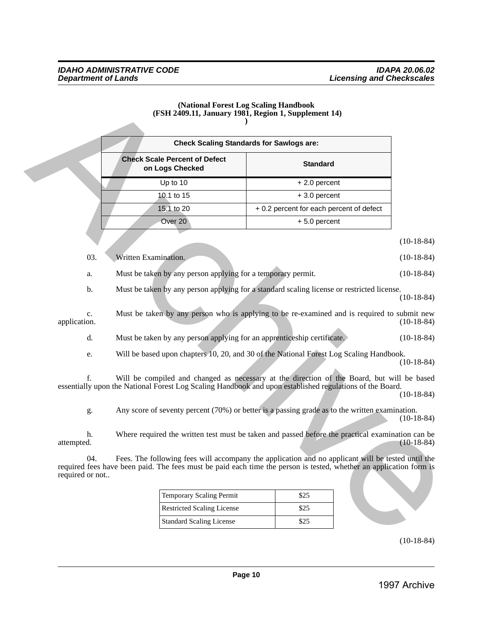#### **(National Forest Log Scaling Handbook (FSH 2409.11, January 1981, Region 1, Supplement 14) )**

| <b>Check Scaling Standards for Sawlogs are:</b>         |                                          |  |  |  |
|---------------------------------------------------------|------------------------------------------|--|--|--|
| <b>Check Scale Percent of Defect</b><br>on Logs Checked | <b>Standard</b>                          |  |  |  |
| Up to $10$                                              | $+2.0$ percent                           |  |  |  |
| 10.1 to 15                                              | $+3.0$ percent                           |  |  |  |
| 15.1 to 20                                              | + 0.2 percent for each percent of defect |  |  |  |
| Over 20                                                 | $+5.0$ percent                           |  |  |  |

|                                               |                                                                                                                                                                                                                                                                                                                                                                                                                                                                                | <b>Check Scaling Standards for Sawlogs are:</b> |                                                              |
|-----------------------------------------------|--------------------------------------------------------------------------------------------------------------------------------------------------------------------------------------------------------------------------------------------------------------------------------------------------------------------------------------------------------------------------------------------------------------------------------------------------------------------------------|-------------------------------------------------|--------------------------------------------------------------|
|                                               | <b>Check Scale Percent of Defect</b><br>on Logs Checked                                                                                                                                                                                                                                                                                                                                                                                                                        | <b>Standard</b>                                 |                                                              |
|                                               | Up to 10                                                                                                                                                                                                                                                                                                                                                                                                                                                                       | + 2.0 percent                                   |                                                              |
|                                               | 10.1 to 15                                                                                                                                                                                                                                                                                                                                                                                                                                                                     | + 3.0 percent                                   |                                                              |
|                                               | 15.1 to 20                                                                                                                                                                                                                                                                                                                                                                                                                                                                     | + 0.2 percent for each percent of defect        |                                                              |
|                                               | Over 20                                                                                                                                                                                                                                                                                                                                                                                                                                                                        | +5.0 percent                                    |                                                              |
|                                               |                                                                                                                                                                                                                                                                                                                                                                                                                                                                                |                                                 | $(10-18-84)$                                                 |
| 03.                                           | Written Examination.                                                                                                                                                                                                                                                                                                                                                                                                                                                           |                                                 | $(10-18-84)$                                                 |
| a.                                            | Must be taken by any person applying for a temporary permit.                                                                                                                                                                                                                                                                                                                                                                                                                   |                                                 | $(10-18-84)$                                                 |
| application.<br>d.<br>e.<br>$f_{\cdot}$<br>g. | Must be taken by any person applying for an apprenticeship certificate.<br>Will be based upon chapters 10, 20, and 30 of the National Forest Log Scaling Handbook.<br>Will be compiled and changed as necessary at the direction of the Board, but will be based<br>essentially upon the National Forest Log Scaling Handbook and upon established regulations of the Board.<br>Any score of seventy percent (70%) or better is a passing grade as to the written examination. |                                                 | $(10-18-84)$<br>$(10-18-84)$<br>$(10-18-84)$<br>$(10-18-84)$ |
| h.<br>attempted.                              | Where required the written test must be taken and passed before the practical examination can be                                                                                                                                                                                                                                                                                                                                                                               |                                                 | $(10-18-84)$<br>$(10-18-84)$                                 |
| 04.<br>required or not                        | Fees. The following fees will accompany the application and no applicant will be tested until the<br>required fees have been paid. The fees must be paid each time the person is tested, whether an application form is                                                                                                                                                                                                                                                        |                                                 |                                                              |
|                                               | <b>Temporary Scaling Permit</b>                                                                                                                                                                                                                                                                                                                                                                                                                                                | \$25                                            |                                                              |
|                                               | <b>Restricted Scaling License</b>                                                                                                                                                                                                                                                                                                                                                                                                                                              | \$25                                            |                                                              |
|                                               | <b>Standard Scaling License</b>                                                                                                                                                                                                                                                                                                                                                                                                                                                | \$25                                            |                                                              |
|                                               |                                                                                                                                                                                                                                                                                                                                                                                                                                                                                |                                                 | $(10-18-84)$                                                 |

| <b>Temporary Scaling Permit</b>   | \$25     |
|-----------------------------------|----------|
| <b>Restricted Scaling License</b> | \$25     |
| <b>Standard Scaling License</b>   | $\Im$ 25 |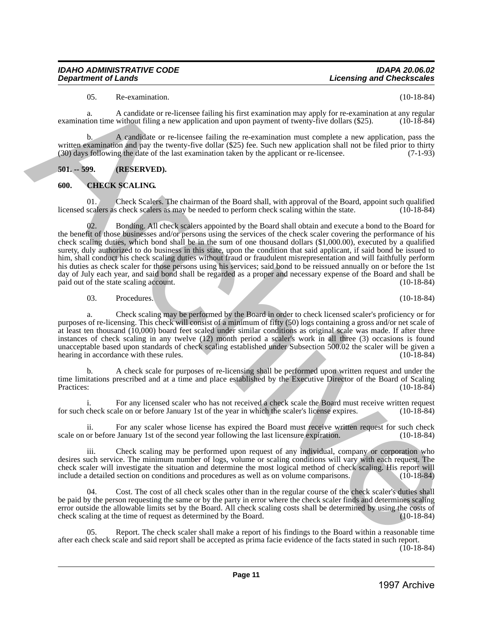# 05. Re-examination. (10-18-84)

a. A candidate or re-licensee failing his first examination may apply for re-examination at any regular tion time without filing a new application and upon payment of twenty-five dollars (\$25). (10-18-84) examination time without filing a new application and upon payment of twenty-five dollars (\$25).

b. A candidate or re-licensee failing the re-examination must complete a new application, pass the written examination and pay the twenty-five dollar (\$25) fee. Such new application shall not be filed prior to thirty (30) days following the date of the last examination taken by the applicant or re-licensee. (7-1-93)

# <span id="page-10-0"></span>**501. -- 599. (RESERVED).**

# <span id="page-10-1"></span>**600. CHECK SCALING.**

01. Check Scalers. The chairman of the Board shall, with approval of the Board, appoint such qualified licensed scalers as check scalers as may be needed to perform check scaling within the state. (10-18-84)

02. Bonding. All check scalers appointed by the Board shall obtain and execute a bond to the Board for the benefit of those businesses and/or persons using the services of the check scaler covering the performance of his check scaling duties, which bond shall be in the sum of one thousand dollars (\$1,000.00), executed by a qualified surety, duly authorized to do business in this state, upon the condition that said applicant, if said bond be issued to him, shall conduct his check scaling duties without fraud or fraudulent misrepresentation and will faithfully perform his duties as check scaler for those persons using his services; said bond to be reissued annually on or before the 1st day of July each year, and said bond shall be regarded as a proper and necessary expense of the Board and shall be paid out of the state scaling account. (10-18-84) paid out of the state scaling account. 1997 - A requisite of redeviation that consistend the property of consistend the property of the consistend the property of  $\alpha$  required to the consistent of the consistent of the consistent of the consistent of the con

03. Procedures. (10-18-84)

a. Check scaling may be performed by the Board in order to check licensed scaler's proficiency or for purposes of re-licensing. This check will consist of a minimum of fifty (50) logs containing a gross and/or net scale of at least ten thousand (10,000) board feet scaled under similar conditions as original scale was made. If after three instances of check scaling in any twelve (12) month period a scaler's work in all three (3) occasions is found unacceptable based upon standards of check scaling established under Subsection 500.02 the scaler will be given a hearing in accordance with these rules. (10-18-84) hearing in accordance with these rules.

b. A check scale for purposes of re-licensing shall be performed upon written request and under the time limitations prescribed and at a time and place established by the Executive Director of the Board of Scaling<br>Practices: (10-18-84) Practices: (10-18-84)

For any licensed scaler who has not received a check scale the Board must receive written request<br>ale on or before January 1st of the year in which the scaler's license expires. (10-18-84) for such check scale on or before January 1st of the year in which the scaler's license expires.

ii. For any scaler whose license has expired the Board must receive written request for such check scale on or before January 1st of the second year following the last licensure expiration. (10-18-84)

iii. Check scaling may be performed upon request of any individual, company or corporation who desires such service. The minimum number of logs, volume or scaling conditions will vary with each request. The check scaler will investigate the situation and determine the most logical method of check scaling. His report will include a detailed section on conditions and procedures as well as on volume comparisons. (10-18-84)

Cost. The cost of all check scales other than in the regular course of the check scaler's duties shall be paid by the person requesting the same or by the party in error where the check scaler finds and determines scaling error outside the allowable limits set by the Board. All check scaling costs shall be determined by using the costs of check scaling at the time of request as determined by the Board. (10-18-84) check scaling at the time of request as determined by the Board.

05. Report. The check scaler shall make a report of his findings to the Board within a reasonable time after each check scale and said report shall be accepted as prima facie evidence of the facts stated in such report.

(10-18-84)